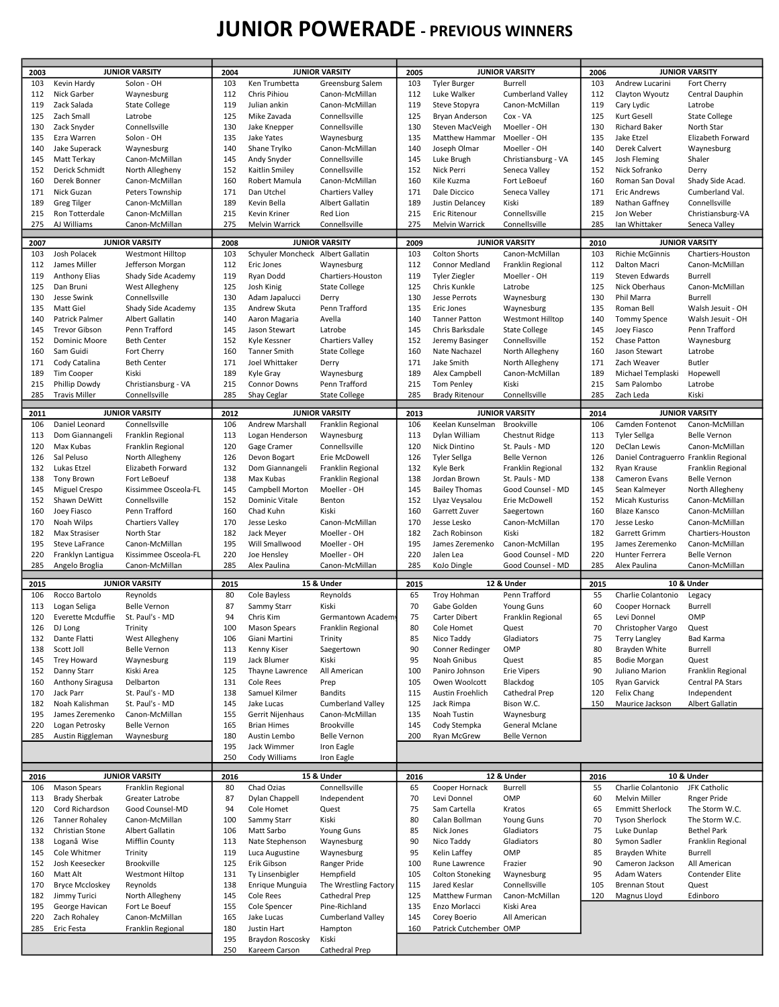## JUNIOR POWERADE - PREVIOUS WINNERS

| 2003<br>103 | <b>JUNIOR VARSITY</b>  |                         | <b>JUNIOR VARSITY</b><br>2004 |                                   | <b>JUNIOR VARSITY</b><br>2005 |      |                         | <b>JUNIOR VARSITY</b><br>2006 |      |                                       |                       |
|-------------|------------------------|-------------------------|-------------------------------|-----------------------------------|-------------------------------|------|-------------------------|-------------------------------|------|---------------------------------------|-----------------------|
|             |                        | Solon - OH              |                               | Ken Trumbetta                     |                               | 103  |                         |                               | 103  | Andrew Lucarini                       |                       |
|             | Kevin Hardy            |                         | 103                           |                                   | Greensburg Salem              |      | <b>Tyler Burger</b>     | <b>Burrell</b>                |      |                                       | Fort Cherry           |
| 112         | Nick Garber            | Waynesburg              | 112                           | Chris Pihiou                      | Canon-McMillan                | 112  | Luke Walker             | <b>Cumberland Valley</b>      | 112  | Clayton Wyoutz                        | Central Dauphin       |
| 119         | Zack Salada            | <b>State College</b>    | 119                           | Julian ankin                      | Canon-McMillan                | 119  | Steve Stopyra           | Canon-McMillan                | 119  | Cary Lydic                            | Latrobe               |
| 125         | Zach Small             | Latrobe                 | 125                           | Mike Zavada                       | Connellsville                 | 125  | Bryan Anderson          | Cox - VA                      | 125  | Kurt Gesell                           | <b>State College</b>  |
| 130         | Zack Snyder            | Connellsville           | 130                           | Jake Knepper                      | Connellsville                 | 130  | Steven MacVeigh         | Moeller - OH                  | 130  | <b>Richard Baker</b>                  | North Star            |
| 135         | Ezra Warren            | Solon - OH              | 135                           | <b>Jake Yates</b>                 | Waynesburg                    | 135  | Matthew Hammar          | Moeller - OH                  | 135  | Jake Etzel                            | Elizabeth Forward     |
| 140         | Jake Superack          | Waynesburg              | 140                           | Shane Trylko                      | Canon-McMillan                | 140  | Joseph Olmar            | Moeller - OH                  | 140  | Derek Calvert                         | Waynesburg            |
| 145         | Matt Terkay            | Canon-McMillan          | 145                           | Andy Snyder                       | Connellsville                 | 145  | Luke Brugh              | Christiansburg - VA           | 145  | Josh Fleming                          | Shaler                |
| 152         | Derick Schmidt         | North Allegheny         | 152                           | Kaitlin Smiley                    | Connellsville                 | 152  | Nick Perri              | Seneca Valley                 | 152  | Nick Sofranko                         | Derry                 |
| 160         | Derek Bonner           | Canon-McMillan          | 160                           | Robert Mamula                     | Canon-McMillan                | 160  | Kile Kuzma              | Fort LeBoeuf                  | 160  | Roman San Doval                       | Shady Side Acad.      |
| 171         | Nick Guzan             | Peters Township         | 171                           | Dan Utchel                        | <b>Chartiers Valley</b>       | 171  | Dale Diccico            | Seneca Valley                 | 171  | <b>Eric Andrews</b>                   | Cumberland Val.       |
| 189         | Greg Tilger            | Canon-McMillan          | 189                           | Kevin Bella                       | Albert Gallatin               | 189  | Justin Delancey         | Kiski                         | 189  | Nathan Gaffney                        | Connellsville         |
| 215         | Ron Totterdale         | Canon-McMillan          | 215                           | Kevin Kriner                      | Red Lion                      | 215  | Eric Ritenour           | Connellsville                 | 215  | Jon Weber                             | Christiansburg-VA     |
| 275         | AJ Williams            | Canon-McMillan          | 275                           | Melvin Warrick                    | Connellsville                 | 275  | Melvin Warrick          | Connellsville                 | 285  | Ian Whittaker                         | Seneca Valley         |
|             |                        |                         |                               |                                   |                               |      |                         |                               |      |                                       |                       |
| 2007        |                        | <b>JUNIOR VARSITY</b>   | 2008                          |                                   | <b>JUNIOR VARSITY</b>         | 2009 |                         | <b>JUNIOR VARSITY</b>         | 2010 |                                       | <b>JUNIOR VARSITY</b> |
| 103         | Josh Polacek           | <b>Westmont Hilltop</b> | 103                           | Schyuler Moncheck Albert Gallatin |                               | 103  | <b>Colton Shorts</b>    | Canon-McMillan                | 103  | <b>Richie McGinnis</b>                | Chartiers-Houston     |
| 112         | James Miller           | Jefferson Morgan        | 112                           | Eric Jones                        | Waynesburg                    | 112  | <b>Connor Medland</b>   | Franklin Regional             | 112  | Dalton Macri                          | Canon-McMillan        |
| 119         | <b>Anthony Elias</b>   | Shady Side Academy      | 119                           | Ryan Dodd                         | Chartiers-Houston             | 119  | <b>Tyler Ziegler</b>    | Moeller - OH                  | 119  | Steven Edwards                        | Burrell               |
| 125         | Dan Bruni              | West Allegheny          | 125                           | Josh Kinig                        | <b>State College</b>          | 125  | Chris Kunkle            | Latrobe                       | 125  | Nick Oberhaus                         | Canon-McMillan        |
| 130         | Jesse Swink            | Connellsville           | 130                           | Adam Japalucci                    | Derry                         | 130  | Jesse Perrots           | Waynesburg                    | 130  | Phil Marra                            | Burrell               |
| 135         | Matt Giel              | Shady Side Academy      | 135                           | Andrew Skuta                      | Penn Trafford                 | 135  | Eric Jones              | Waynesburg                    | 135  | Roman Bell                            | Walsh Jesuit - OH     |
|             |                        |                         |                               |                                   | Avella                        |      |                         |                               |      |                                       |                       |
| 140         | Patrick Palmer         | Albert Gallatin         | 140                           | Aaron Magaria                     |                               | 140  | <b>Tanner Patton</b>    | <b>Westmont Hilltop</b>       | 140  | <b>Tommy Spence</b>                   | Walsh Jesuit - OH     |
| 145         | <b>Trevor Gibson</b>   | Penn Trafford           | 145                           | Jason Stewart                     | Latrobe                       | 145  | Chris Barksdale         | <b>State College</b>          | 145  | Joey Fiasco                           | Penn Trafford         |
| 152         | Dominic Moore          | <b>Beth Center</b>      | 152                           | Kyle Kessner                      | <b>Chartiers Valley</b>       | 152  | Jeremy Basinger         | Connellsville                 | 152  | Chase Patton                          | Waynesburg            |
| 160         | Sam Guidi              | Fort Cherry             | 160                           | <b>Tanner Smith</b>               | <b>State College</b>          | 160  | Nate Nachazel           | North Allegheny               | 160  | Jason Stewart                         | Latrobe               |
| 171         | Cody Catalina          | <b>Beth Center</b>      | 171                           | Joel Whittaker                    | Derry                         | 171  | Jake Smith              | North Allegheny               | 171  | Zach Weaver                           | <b>Butler</b>         |
| 189         | Tim Cooper             | Kiski                   | 189                           | Kyle Gray                         | Waynesburg                    | 189  | Alex Campbell           | Canon-McMillan                | 189  | Michael Templaski                     | Hopewell              |
| 215         | Phillip Dowdy          | Christiansburg - VA     | 215                           | <b>Connor Downs</b>               | Penn Trafford                 | 215  | Tom Penley              | Kiski                         | 215  | Sam Palombo                           | Latrobe               |
| 285         | <b>Travis Miller</b>   | Connellsville           | 285                           | Shay Ceglar                       | <b>State College</b>          | 285  | <b>Brady Ritenour</b>   | Connellsville                 | 285  | Zach Leda                             | Kiski                 |
|             |                        |                         |                               |                                   |                               |      |                         |                               |      |                                       |                       |
| 2011        |                        | <b>JUNIOR VARSITY</b>   | 2012                          |                                   | <b>JUNIOR VARSITY</b>         | 2013 |                         | <b>JUNIOR VARSITY</b>         | 2014 |                                       | <b>JUNIOR VARSITY</b> |
| 106         | Daniel Leonard         | Connellsville           | 106                           | <b>Andrew Marshall</b>            | Franklin Regional             | 106  | Keelan Kunselman        | Brookville                    | 106  | Camden Fontenot                       | Canon-McMillan        |
| 113         | Dom Giannangeli        | Franklin Regional       | 113                           | Logan Henderson                   | Waynesburg                    | 113  | Dylan William           | Chestnut Ridge                | 113  | <b>Tyler Sellga</b>                   | <b>Belle Vernon</b>   |
| 120         | Max Kubas              | Franklin Regional       | 120                           | Gage Cramer                       | Connellsville                 | 120  | Nick Dintino            | St. Pauls - MD                | 120  | DeClan Lewis                          | Canon-McMillan        |
| 126         | Sal Peluso             | North Allegheny         | 126                           | Devon Bogart                      | Erie McDowell                 | 126  | Tyler Sellga            | <b>Belle Vernon</b>           | 126  | Daniel Contraguerro Franklin Regional |                       |
| 132         | Lukas Etzel            | Elizabeth Forward       | 132                           | Dom Giannangeli                   | Franklin Regional             | 132  | Kyle Berk               | Franklin Regional             | 132  | Ryan Krause                           | Franklin Regional     |
| 138         | <b>Tony Brown</b>      | Fort LeBoeuf            | 138                           | Max Kubas                         | Franklin Regional             | 138  | Jordan Brown            | St. Pauls - MD                | 138  | Cameron Evans                         | <b>Belle Vernon</b>   |
| 145         | Miguel Crespo          | Kissimmee Osceola-FL    | 145                           | Campbell Morton                   | Moeller - OH                  | 145  | <b>Bailey Thomas</b>    | Good Counsel - MD             | 145  | Sean Kalmeyer                         | North Allegheny       |
| 152         | Shawn DeWitt           | Connellsville           | 152                           | Dominic Vitale                    | Benton                        | 152  | Llyaz Veysalou          | Erie McDowell                 | 152  | <b>Micah Kusturiss</b>                | Canon-McMillan        |
| 160         | Joey Fiasco            | Penn Trafford           | 160                           | Chad Kuhn                         | Kiski                         | 160  | Garrett Zuver           | Saegertown                    | 160  | <b>Blaze Kansco</b>                   | Canon-McMillan        |
| 170         |                        |                         | 170                           | Jesse Lesko                       |                               | 170  | Jesse Lesko             |                               | 170  | Jesse Lesko                           |                       |
|             | Noah Wilps             | <b>Chartiers Valley</b> |                               |                                   | Canon-McMillan                |      |                         | Canon-McMillan                |      |                                       | Canon-McMillan        |
| 182         | Max Strasiser          | North Star              | 182                           | Jack Meyer                        | Moeller - OH                  | 182  | Zach Robinson           | Kiski                         | 182  | Garrett Grimm                         | Chartiers-Houston     |
| 195         | Steve LaFrance         | Canon-McMillan          | 195                           | Will Smallwood                    | Moeller - OH                  | 195  | James Zeremenko         | Canon-McMillan                | 195  | James Zeremenko                       | Canon-McMillan        |
| 220         | Franklyn Lantigua      | Kissimmee Osceola-FL    | 220                           | Joe Hensley                       | Moeller - OH                  | 220  | Jalen Lea               | Good Counsel - MD             | 220  | Hunter Ferrera                        | <b>Belle Vernon</b>   |
| 285         | Angelo Broglia         | Canon-McMillan          | 285                           | Alex Paulina                      | Canon-McMillan                | 285  | KoJo Dingle             | Good Counsel - MD             | 285  | Alex Paulina                          | Canon-McMillan        |
| 2015        |                        | <b>JUNIOR VARSITY</b>   | 2015                          |                                   | 15 & Under                    | 2015 |                         | 12 & Under                    | 2015 |                                       | 10 & Under            |
| 106         | Rocco Bartolo          |                         |                               | Cole Bayless                      | Reynolds                      | 65   | Troy Hohman             | Penn Trafford                 |      | Charlie Colantonio                    | Legacy                |
| 113         |                        |                         |                               |                                   |                               |      |                         |                               |      |                                       |                       |
|             |                        | Reynolds                | 80                            |                                   |                               |      |                         |                               | 55   |                                       |                       |
|             | Logan Seliga           | <b>Belle Vernon</b>     | 87                            | Sammy Starr                       | Kiski                         | 70   | Gabe Golden             | <b>Young Guns</b>             | 60   | Cooper Hornack                        | Burrell               |
| 120         | Everette Mcduffie      | St. Paul's - MD         | 94                            | Chris Kim                         | Germantown Academy            | 75   | Carter Dibert           | Franklin Regional             | 65   | Levi Donnel                           | OMP                   |
| 126         | DJ Long                | Trinity                 | 100                           | <b>Mason Spears</b>               | Franklin Regional             | 80   | Cole Homet              | Quest                         | 70   | Christopher Vargo                     | Quest                 |
| 132         | Dante Flatti           | West Allegheny          | 106                           | Giani Martini                     | Trinity                       | 85   | Nico Taddy              | Gladiators                    | 75   | Terry Langley                         | <b>Bad Karma</b>      |
| 138         | Scott Joll             | <b>Belle Vernon</b>     | 113                           | Kenny Kiser                       | Saegertown                    | 90   | Conner Redinger         | OMP                           | 80   | Brayden White                         | Burrell               |
| 145         | Trey Howard            | Waynesburg              | 119                           | Jack Blumer                       | Kiski                         | 95   | Noah Gnibus             | Quest                         | 85   | <b>Bodie Morgan</b>                   | Quest                 |
| 152         | Danny Starr            | Kiski Area              | 125                           | Thayne Lawrence                   | All American                  | 100  | Paniro Johnson          | <b>Erie Vipers</b>            | 90   | Juliano Marion                        | Franklin Regional     |
| 160         | Anthony Siragusa       | Delbarton               | 131                           | <b>Cole Rees</b>                  | Prep                          | 105  | Owen Woolcott           | Blackdog                      | 105  | Ryan Garvick                          | Central PA Stars      |
| 170         | Jack Parr              | St. Paul's - MD         | 138                           | Samuel Kilmer                     | <b>Bandits</b>                | 115  | Austin Froehlich        | Cathedral Prep                | 120  | Felix Chang                           | Independent           |
| 182         | Noah Kalishman         | St. Paul's - MD         | 145                           | Jake Lucas                        | <b>Cumberland Valley</b>      | 125  | Jack Rimpa              | Bison W.C.                    | 150  | Maurice Jackson                       | Albert Gallatin       |
| 195         | James Zeremenko        | Canon-McMillan          | 155                           | Gerrit Nijenhaus                  | Canon-McMillan                | 135  | Noah Tustin             | Waynesburg                    |      |                                       |                       |
| 220         | Logan Petrosky         | <b>Belle Vernon</b>     | 165                           | <b>Brian Himes</b>                | Brookville                    | 145  | Cody Stempka            | General Mclane                |      |                                       |                       |
| 285         | Austin Riggleman       | Waynesburg              | 180                           | Austin Lembo                      | <b>Belle Vernon</b>           | 200  | Ryan McGrew             | <b>Belle Vernon</b>           |      |                                       |                       |
|             |                        |                         | 195                           | Jack Wimmer                       | Iron Eagle                    |      |                         |                               |      |                                       |                       |
|             |                        |                         | 250                           | Cody Williams                     | Iron Eagle                    |      |                         |                               |      |                                       |                       |
|             |                        |                         |                               |                                   |                               |      |                         |                               |      |                                       |                       |
| 2016        |                        | <b>JUNIOR VARSITY</b>   | 2016                          |                                   | 15 & Under                    | 2016 |                         | 12 & Under                    | 2016 |                                       | 10 & Under            |
| 106         | <b>Mason Spears</b>    | Franklin Regional       | 80                            | Chad Ozias                        | Connellsville                 | 65   | Cooper Hornack          | Burrell                       | 55   | Charlie Colantonio                    | JFK Catholic          |
| 113         | <b>Brady Sherbak</b>   | Greater Latrobe         | 87                            | Dylan Chappell                    | Independent                   | 70   | Levi Donnel             | OMP                           | 60   | Melvin Miller                         | Rnger Pride           |
| 120         | Cord Richardson        | Good Counsel-MD         | 94                            | Cole Homet                        | Quest                         | 75   | Sam Cartella            | Kratos                        | 65   | <b>Emmitt Sherlock</b>                | The Storm W.C.        |
| 126         | <b>Tanner Rohaley</b>  | Canon-McMillan          | 100                           | Sammy Starr                       | Kiski                         | 80   | Calan Bollman           | <b>Young Guns</b>             | 70   | <b>Tyson Sherlock</b>                 | The Storm W.C.        |
| 132         | Christian Stone        | Albert Gallatin         | 106                           | Matt Sarbo                        | Young Guns                    | 85   | Nick Jones              | Gladiators                    | 75   | Luke Dunlap                           | <b>Bethel Park</b>    |
| 138         | Loganâ Wise            | <b>Mifflin County</b>   | 113                           | Nate Stephenson                   | Waynesburg                    | 90   | Nico Taddy              | Gladiators                    | 80   | Symon Sadler                          | Franklin Regional     |
| 145         | Cole Whitmer           | Trinity                 | 119                           | Luca Augustine                    | Waynesburg                    | 95   | Kelin Laffey            | OMP                           | 85   | Brayden White                         | Burrell               |
| 152         | Josh Keesecker         | Brookville              | 125                           | Erik Gibson                       | Ranger Pride                  | 100  | Rune Lawrence           | Frazier                       | 90   | Cameron Jackson                       | All American          |
| 160         | Matt Alt               | <b>Westmont Hiltop</b>  | 131                           | Ty Linsenbigler                   | Hempfield                     | 105  | <b>Colton Stoneking</b> | Waynesburg                    | 95   | Adam Waters                           | Contender Elite       |
| 170         | <b>Bryce Mccloskey</b> | Reynolds                | 138                           | Enrique Munguia                   | The Wrestling Factory         | 115  | Jared Keslar            | Connellsville                 | 105  | <b>Brennan Stout</b>                  | Quest                 |
| 182         | Jimmy Turici           | North Allegheny         | 145                           | <b>Cole Rees</b>                  | Cathedral Prep                | 125  | Matthew Furman          | Canon-McMillan                | 120  | Magnus Lloyd                          | Edinboro              |
| 195         | George Havican         | Fort Le Boeuf           | 155                           | Cole Spencer                      | Pine-Richland                 | 135  | Enzo Morlacci           | Kiski Area                    |      |                                       |                       |
| 220         | Zach Rohaley           | Canon-McMillan          | 165                           | Jake Lucas                        | <b>Cumberland Valley</b>      | 145  | Corey Boerio            | All American                  |      |                                       |                       |
| 285         | Eric Festa             |                         |                               | Justin Hart                       | Hampton                       | 160  | Patrick Cutchember OMP  |                               |      |                                       |                       |
|             |                        | Franklin Regional       | 180<br>195                    | Braydon Roscosky                  | Kiski                         |      |                         |                               |      |                                       |                       |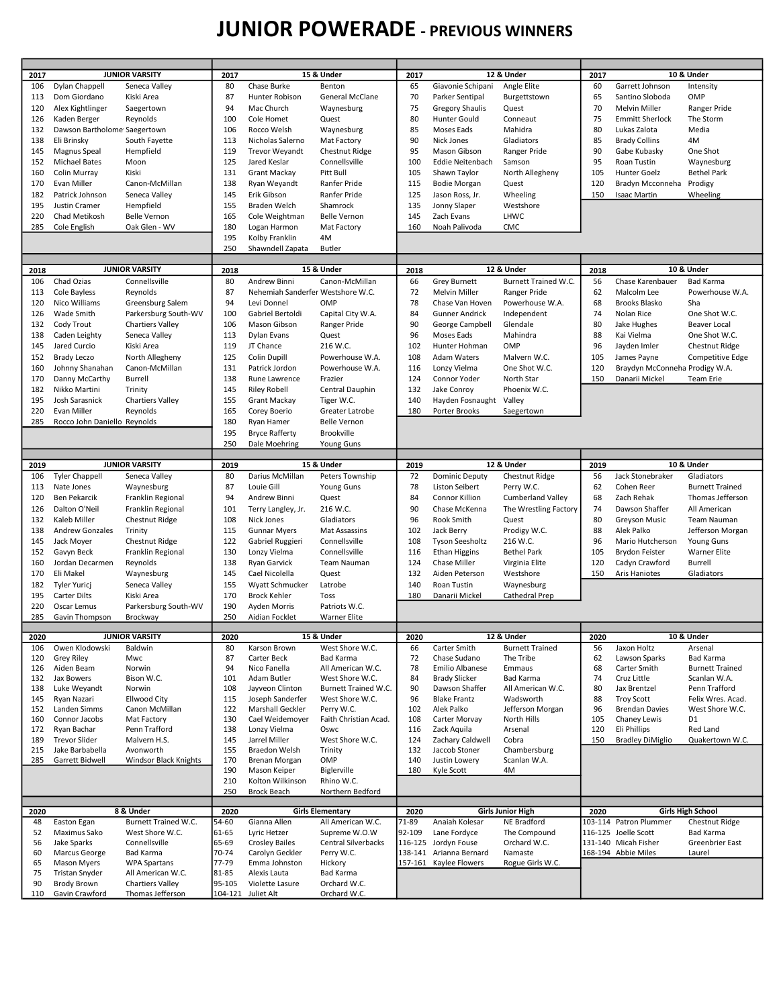## JUNIOR POWERADE - PREVIOUS WINNERS

| 2017       |                              | <b>JUNIOR VARSITY</b>                 | 2017           |                                          | 15 & Under                          | 2017      |                                                 | 12 & Under                    | 2017     |                                             | 10 & Under                           |
|------------|------------------------------|---------------------------------------|----------------|------------------------------------------|-------------------------------------|-----------|-------------------------------------------------|-------------------------------|----------|---------------------------------------------|--------------------------------------|
| 106        | Dylan Chappell               | Seneca Valley                         | 80             | Chase Burke                              | Benton                              | 65        | Giavonie Schipani                               | Angle Elite                   | 60       | Garrett Johnson                             | Intensity                            |
| 113        | Dom Giordano                 | Kiski Area                            | 87             | Hunter Robison                           | General McClane                     | 70        | Parker Sentipal                                 | Burgettstown                  | 65       | Santino Sloboda                             | OMP                                  |
| 120        | Alex Kightlinger             | Saegertown                            | 94             | Mac Church                               | Waynesburg                          | 75        | <b>Gregory Shaulis</b>                          | Quest                         | 70       | <b>Melvin Miller</b>                        | Ranger Pride                         |
| 126        | Kaden Berger                 | Reynolds                              | 100            | Cole Homet                               | Quest                               | 80        | Hunter Gould                                    | Conneaut                      | 75       | <b>Emmitt Sherlock</b>                      | The Storm                            |
| 132        | Dawson Bartholome Saegertown |                                       | 106            | Rocco Welsh                              | Waynesburg                          | 85        | Moses Eads                                      | Mahidra                       | 80       | Lukas Zalota                                | Media                                |
| 138        | Eli Brinsky                  | South Fayette                         | 113            | Nicholas Salerno                         | Mat Factory                         | 90        | Nick Jones                                      | Gladiators                    | 85       | <b>Brady Collins</b>                        | 4M                                   |
| 145        | Magnus Speal                 | Hempfield                             | 119            | <b>Trevor Weyandt</b>                    | <b>Chestnut Ridge</b>               | 95        | Mason Gibson                                    | Ranger Pride                  | 90       | Gabe Kubasky                                | One Shot                             |
| 152        | <b>Michael Bates</b>         | Moon                                  | 125            | Jared Keslar                             | Connellsville                       | 100       | Eddie Neitenbach                                | Samson                        | 95       | Roan Tustin                                 | Waynesburg                           |
| 160        | Colin Murray                 | Kiski                                 | 131            | Grant Mackay                             | Pitt Bull                           | 105       | Shawn Taylor                                    | North Allegheny               | 105      | Hunter Goelz                                | <b>Bethel Park</b>                   |
| 170        | Evan Miller                  | Canon-McMillan                        | 138            | Ryan Weyandt<br>Erik Gibson              | Ranfer Pride                        | 115       | <b>Bodie Morgan</b>                             | Quest                         | 120      | Bradyn Mcconneha Prodigy                    |                                      |
| 182        | Patrick Johnson              | Seneca Valley                         | 145            | <b>Braden Welch</b>                      | Ranfer Pride                        | 125       | Jason Ross, Jr.                                 | Wheeling                      | 150      | <b>Isaac Martin</b>                         | Wheeling                             |
| 195        | Justin Cramer                | Hempfield                             | 155            |                                          | Shamrock                            | 135       | Jonny Slaper                                    | Westshore                     |          |                                             |                                      |
| 220        | Chad Metikosh                | <b>Belle Vernon</b>                   | 165            | Cole Weightman                           | <b>Belle Vernon</b>                 | 145       | Zach Evans                                      | LHWC                          |          |                                             |                                      |
| 285        | Cole English                 | Oak Glen - WV                         | 180<br>195     | Logan Harmon                             | Mat Factory                         | 160       | Noah Palivoda                                   | CMC                           |          |                                             |                                      |
|            |                              |                                       | 250            | Kolby Franklin                           | 4M<br><b>Butler</b>                 |           |                                                 |                               |          |                                             |                                      |
|            |                              |                                       |                | Shawndell Zapata                         |                                     |           |                                                 |                               |          |                                             |                                      |
| 2018       |                              | <b>JUNIOR VARSITY</b>                 | 2018           |                                          | 15 & Under                          | 2018      |                                                 | 12 & Under                    | 2018     |                                             | 10 & Under                           |
| 106        | Chad Ozias                   | Connellsville                         | 80             | Andrew Binni                             | Canon-McMillan                      | 66        | <b>Grey Burnett</b>                             | Burnett Trained W.C.          | 56       | Chase Karenbauer                            | <b>Bad Karma</b>                     |
| 113        | Cole Bayless                 | Reynolds                              | 87             | Nehemiah Sanderfer Westshore W.C.        |                                     | 72        | <b>Melvin Miller</b>                            | Ranger Pride                  | 62       | Malcolm Lee                                 | Powerhouse W.A.                      |
| 120        | Nico Williams                | Greensburg Salem                      | 94             | Levi Donnel                              | OMP                                 | 78        | Chase Van Hoven                                 | Powerhouse W.A.               | 68       | <b>Brooks Blasko</b>                        | Sha                                  |
| 126        | Wade Smith                   | Parkersburg South-WV                  | 100            | Gabriel Bertoldi                         | Capital City W.A.                   | 84        | <b>Gunner Andrick</b>                           | Independent                   | 74       | Nolan Rice                                  | One Shot W.C.                        |
| 132        | Cody Trout                   | <b>Chartiers Valley</b>               | 106            | Mason Gibson                             | Ranger Pride                        | 90        | George Campbell                                 | Glendale                      | 80       | Jake Hughes                                 | <b>Beaver Local</b>                  |
| 138        | Caden Leighty                | Seneca Valley                         | 113            | Dylan Evans                              | Quest                               | 96        | Moses Eads                                      | Mahindra                      | 88       | Kai Vielma                                  | One Shot W.C.                        |
| 145        | Jared Curcio                 | Kiski Area                            | 119            | JT Chance                                | 216 W.C.                            | 102       | Hunter Hohman                                   | OMP                           | 96       | Jayden Imler                                | Chestnut Ridge                       |
| 152        | <b>Brady Leczo</b>           | North Allegheny                       | 125            | <b>Colin Dupill</b>                      | Powerhouse W.A.                     | 108       | Adam Waters                                     | Malvern W.C.                  | 105      | James Payne                                 | Competitive Edge                     |
| 160        | Johnny Shanahan              | Canon-McMillan                        | 131            | Patrick Jordon                           | Powerhouse W.A.                     | 116       | Lonzy Vielma                                    | One Shot W.C.                 | 120      | Braydyn McConneha Prodigy W.A.              |                                      |
| 170        | Danny McCarthy               | Burrell                               | 138            | Rune Lawrence                            | Frazier                             | 124       | Connor Yoder                                    | North Star                    | 150      | Danarii Mickel                              | Team Erie                            |
| 182        | Nikko Martini                | Trinity                               | 145            | <b>Riley Robell</b>                      | Central Dauphin                     | 132       | Jake Conroy                                     | Phoenix W.C.                  |          |                                             |                                      |
| 195        | Josh Sarasnick               | <b>Chartiers Valley</b>               | 155            | Grant Mackay                             | Tiger W.C.                          | 140       | Hayden Fosnaught                                | Valley                        |          |                                             |                                      |
| 220        | Evan Miller                  | Reynolds                              | 165            | Corey Boerio                             | Greater Latrobe                     | 180       | Porter Brooks                                   | Saegertown                    |          |                                             |                                      |
| 285        | Rocco John Daniello Reynolds |                                       | 180            | Ryan Hamer                               | <b>Belle Vernon</b>                 |           |                                                 |                               |          |                                             |                                      |
|            |                              |                                       | 195            | <b>Bryce Rafferty</b>                    | Brookville                          |           |                                                 |                               |          |                                             |                                      |
|            |                              |                                       | 250            | Dale Moehring                            | <b>Young Guns</b>                   |           |                                                 |                               |          |                                             |                                      |
|            |                              |                                       |                |                                          |                                     |           |                                                 |                               |          |                                             |                                      |
| 2019       |                              | <b>JUNIOR VARSITY</b>                 | 2019           |                                          | 15 & Under                          | 2019      |                                                 | 12 & Under                    | 2019     |                                             | 10 & Under                           |
| 106        | <b>Tyler Chappell</b>        | Seneca Valley                         | 80             | Darius McMillan                          | Peters Township                     | 72        | <b>Dominic Deputy</b>                           | Chestnut Ridge                | 56       | Jack Stonebraker                            | Gladiators                           |
| 113        | Nate Jones                   | Waynesburg                            | 87             | Louie Gill                               | <b>Young Guns</b>                   | 78        | <b>Liston Seibert</b>                           | Perry W.C.                    | 62       | Cohen Reer                                  | <b>Burnett Trained</b>               |
| 120        | Ben Pekarcik                 | Franklin Regional                     | 94             | Andrew Binni                             | Quest                               | 84        | Connor Killion                                  | <b>Cumberland Valley</b>      | 68       | Zach Rehak                                  | Thomas Jefferson                     |
| 126        | Dalton O'Neil                | Franklin Regional                     | 101            | Terry Langley, Jr.                       | 216 W.C.                            | 90        | Chase McKenna                                   | The Wrestling Factory         | 74       | Dawson Shaffer                              | All American                         |
| 132        | Kaleb Miller                 | Chestnut Ridge                        | 108            | Nick Jones                               | Gladiators                          | 96        | Rook Smith                                      | Quest                         | 80       | Greyson Music                               | Team Nauman                          |
| 138        | <b>Andrew Gonzales</b>       | Trinity                               | 115            | <b>Gunnar Myers</b>                      | Mat Assassins                       | 102       | Jack Berry                                      | Prodigy W.C.                  | 88       | Alek Palko                                  | Jefferson Morgan                     |
| 145        | Jack Moyer                   | Chestnut Ridge                        | 122            | Gabriel Ruggieri                         | Connellsville                       | 108       | <b>Tyson Seesholtz</b>                          | 216 W.C.                      | 96       | Mario Hutcherson                            | <b>Young Guns</b>                    |
| 152        | Gavyn Beck                   | Franklin Regional                     | 130            | Lonzy Vielma                             | Connellsville                       | 116       | <b>Ethan Higgins</b>                            | <b>Bethel Park</b>            | 105      | <b>Brydon Feister</b>                       | <b>Warner Elite</b>                  |
| 160        | Jordan Decarmen              | Reynolds                              | 138            | Ryan Garvick                             | Team Nauman                         | 124       | Chase Miller                                    | Virginia Elite                | 120      | Cadyn Crawford                              | Burrell                              |
| 170        | Eli Makel                    | Waynesburg                            | 145            | Cael Nicolella                           | Quest                               | 132       | Aiden Peterson                                  | Westshore                     | 150      | Aris Haniotes                               | Gladiators                           |
| 182        | <b>Tyler Yuricj</b>          | Seneca Valley                         | 155            | Wyatt Schmucker                          | Latrobe                             | 140       | Roan Tustin                                     | Waynesburg                    |          |                                             |                                      |
| 195        | <b>Carter Dilts</b>          | Kiski Area                            | 170            | <b>Brock Kehler</b>                      | Toss                                | 180       | Danarii Mickel                                  | Cathedral Prep                |          |                                             |                                      |
| 220        | Oscar Lemus                  | Parkersburg South-WV                  | 190            | Ayden Morris                             | Patriots W.C.                       |           |                                                 |                               |          |                                             |                                      |
| 285        | Gavin Thompson               | Brockway                              | 250            | Aidian Focklet                           | Warner Elite                        |           |                                                 |                               |          |                                             |                                      |
|            |                              |                                       |                |                                          |                                     |           |                                                 |                               |          |                                             |                                      |
| 2020       |                              | <b>JUNIOR VARSITY</b>                 | 2020           |                                          | 15 & Under                          | 2020      |                                                 | 12 & Under                    | 2020     |                                             | 10 & Under                           |
| 106        | Owen Klodowski               | Baldwin<br>Mwc                        | 80<br>87       | Karson Brown<br>Carter Beck              | West Shore W.C.<br><b>Bad Karma</b> | 66        | Carter Smith<br>Chase Sudano                    | <b>Burnett Trained</b>        | 56       | Jaxon Holtz<br>Lawson Sparks                | Arsenal<br><b>Bad Karma</b>          |
| 120<br>126 | Grey Riley<br>Aiden Beam     | Norwin                                | 94             | Nico Fanella                             | All American W.C.                   | 72<br>78  | Emilio Albanese                                 | The Tribe<br>Emmaus           | 62<br>68 | Carter Smith                                | <b>Burnett Trained</b>               |
| 132        | Jax Bowers                   |                                       |                |                                          |                                     |           |                                                 |                               |          |                                             |                                      |
| 138        |                              |                                       |                |                                          |                                     |           |                                                 |                               |          |                                             |                                      |
| 145        |                              | Bison W.C.<br>Norwin                  | 101            | Adam Butler                              | West Shore W.C.                     | 84<br>90  | <b>Brady Slicker</b><br>Dawson Shaffer          | <b>Bad Karma</b>              | 74       | Cruz Little<br>Jax Brentzel                 | Scanlan W.A.                         |
|            | Luke Weyandt                 |                                       | 108            | Jayveon Clinton                          | Burnett Trained W.C.                |           |                                                 | All American W.C.             | 80       |                                             | Penn Trafford                        |
| 152        | Ryan Nazari<br>Landen Simms  | <b>Ellwood City</b><br>Canon McMillan | 115<br>122     | Joseph Sanderfer<br>Marshall Geckler     | West Shore W.C.<br>Perry W.C.       | 96<br>102 | <b>Blake Frantz</b><br>Alek Palko               | Wadsworth<br>Jefferson Morgan | 88<br>96 | <b>Troy Scott</b><br><b>Brendan Davies</b>  | Felix Wres. Acad.<br>West Shore W.C. |
| 160        | Connor Jacobs                | Mat Factory                           | 130            | Cael Weidemoyer                          | Faith Christian Acad.               | 108       | Carter Morvay                                   | North Hills                   | 105      | Chaney Lewis                                | D1                                   |
| 172        | Ryan Bachar                  | Penn Trafford                         | 138            | Lonzy Vielma                             | Oswc                                | 116       | Zack Aquila                                     | Arsenal                       | 120      | Eli Phillips                                | Red Land                             |
| 189        | <b>Trevor Slider</b>         | Malvern H.S.                          | 145            | Jarrel Miller                            | West Shore W.C.                     | 124       | Zachary Caldwell                                | Cobra                         | 150      | <b>Bradley DiMiglio</b>                     | Quakertown W.C.                      |
| 215        | Jake Barbabella              | Avonworth                             | 155            | Braedon Welsh                            | Trinity                             | 132       | Jaccob Stoner                                   | Chambersburg                  |          |                                             |                                      |
| 285        | Garrett Bidwell              | Windsor Black Knights                 | 170            | Brenan Morgan                            | OMP                                 | 140       | Justin Lowery                                   | Scanlan W.A.                  |          |                                             |                                      |
|            |                              |                                       | 190            | Mason Keiper                             | Biglerville                         | 180       | Kyle Scott                                      | 4M                            |          |                                             |                                      |
|            |                              |                                       | 210            | Kolton Wilkinson                         | Rhino W.C.                          |           |                                                 |                               |          |                                             |                                      |
|            |                              |                                       | 250            | <b>Brock Beach</b>                       | Northern Bedford                    |           |                                                 |                               |          |                                             |                                      |
|            |                              |                                       |                |                                          |                                     |           |                                                 |                               |          |                                             |                                      |
| 2020       |                              | 8 & Under                             | 2020           |                                          | <b>Girls Elementary</b>             | 2020      |                                                 | <b>Girls Junior High</b>      | 2020     |                                             | <b>Girls High School</b>             |
| 48         | Easton Egan                  | <b>Burnett Trained W.C.</b>           | 54-60          | Gianna Allen                             | All American W.C.                   | 71-89     | Anaiah Kolesar                                  | NE Bradford                   |          | 103-114 Patron Plummer                      | Chestnut Ridge                       |
| 52         | Maximus Sako                 | West Shore W.C.                       | 61-65          | Lyric Hetzer                             | Supreme W.O.W                       | 92-109    | Lane Fordyce                                    | The Compound                  |          | 116-125 Joelle Scott                        | Bad Karma                            |
| 56<br>60   | Jake Sparks<br>Marcus George | Connellsville<br><b>Bad Karma</b>     | 65-69<br>70-74 | <b>Crosley Bailes</b><br>Carolyn Geckler | Central Silverbacks<br>Perry W.C.   |           | 116-125 Jordyn Fouse<br>138-141 Arianna Bernard | Orchard W.C.<br>Namaste       |          | 131-140 Micah Fisher<br>168-194 Abbie Miles | Greenbrier East<br>Laurel            |
| 65         | <b>Mason Myers</b>           | <b>WPA Spartans</b>                   | 77-79          | Emma Johnston                            | Hickory                             |           | 157-161 Kaylee Flowers                          | Rogue Girls W.C.              |          |                                             |                                      |
| 75         | Tristan Snyder               | All American W.C.                     | 81-85          | Alexis Lauta                             | Bad Karma                           |           |                                                 |                               |          |                                             |                                      |
| 90         | Brody Brown                  | <b>Chartiers Valley</b>               | 95-105         | Violette Lasure                          | Orchard W.C.                        |           |                                                 |                               |          |                                             |                                      |
| 110        | Gavin Crawford               | Thomas Jefferson                      | 104-121        | Juliet Alt                               | Orchard W.C.                        |           |                                                 |                               |          |                                             |                                      |